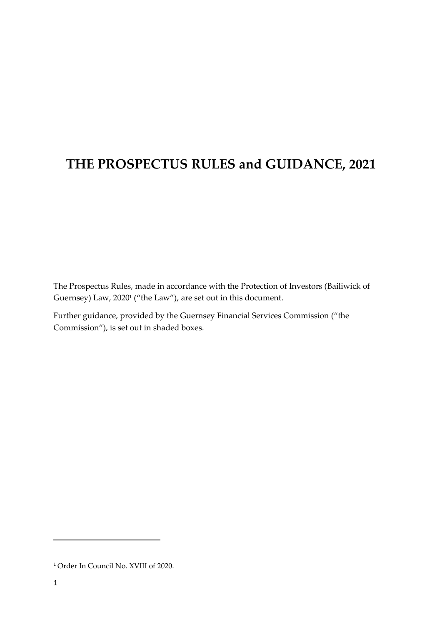# **THE PROSPECTUS RULES and GUIDANCE, 2021**

The Prospectus Rules, made in accordance with the Protection of Investors (Bailiwick of Guernsey) Law, 2020<sup>1</sup> ("the Law"), are set out in this document.

Further guidance, provided by the Guernsey Financial Services Commission ("the Commission"), is set out in shaded boxes.

<sup>1</sup> Order In Council No. XVIII of 2020.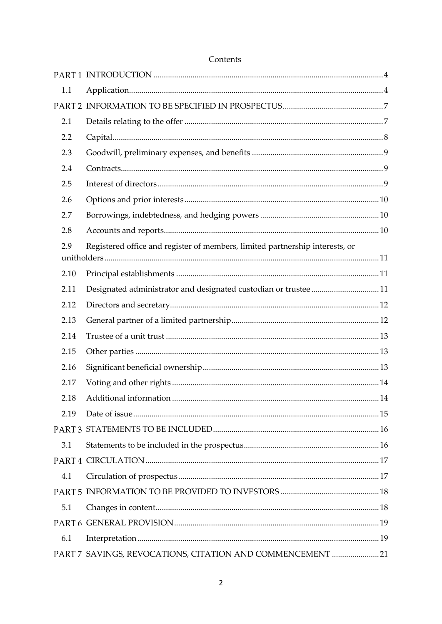| 1.1  |                                                                                                                                                                                                                                                                                                                                                                                                                                                                   |  |
|------|-------------------------------------------------------------------------------------------------------------------------------------------------------------------------------------------------------------------------------------------------------------------------------------------------------------------------------------------------------------------------------------------------------------------------------------------------------------------|--|
|      |                                                                                                                                                                                                                                                                                                                                                                                                                                                                   |  |
| 2.1  |                                                                                                                                                                                                                                                                                                                                                                                                                                                                   |  |
| 2.2  |                                                                                                                                                                                                                                                                                                                                                                                                                                                                   |  |
| 2.3  |                                                                                                                                                                                                                                                                                                                                                                                                                                                                   |  |
| 2.4  |                                                                                                                                                                                                                                                                                                                                                                                                                                                                   |  |
| 2.5  |                                                                                                                                                                                                                                                                                                                                                                                                                                                                   |  |
| 2.6  |                                                                                                                                                                                                                                                                                                                                                                                                                                                                   |  |
| 2.7  |                                                                                                                                                                                                                                                                                                                                                                                                                                                                   |  |
| 2.8  |                                                                                                                                                                                                                                                                                                                                                                                                                                                                   |  |
| 2.9  | Registered office and register of members, limited partnership interests, or                                                                                                                                                                                                                                                                                                                                                                                      |  |
| 2.10 |                                                                                                                                                                                                                                                                                                                                                                                                                                                                   |  |
| 2.11 | Designated administrator and designated custodian or trustee11                                                                                                                                                                                                                                                                                                                                                                                                    |  |
| 2.12 |                                                                                                                                                                                                                                                                                                                                                                                                                                                                   |  |
| 2.13 |                                                                                                                                                                                                                                                                                                                                                                                                                                                                   |  |
| 2.14 |                                                                                                                                                                                                                                                                                                                                                                                                                                                                   |  |
| 2.15 |                                                                                                                                                                                                                                                                                                                                                                                                                                                                   |  |
| 2.16 |                                                                                                                                                                                                                                                                                                                                                                                                                                                                   |  |
| 2.17 |                                                                                                                                                                                                                                                                                                                                                                                                                                                                   |  |
| 2.18 |                                                                                                                                                                                                                                                                                                                                                                                                                                                                   |  |
| 2.19 |                                                                                                                                                                                                                                                                                                                                                                                                                                                                   |  |
|      |                                                                                                                                                                                                                                                                                                                                                                                                                                                                   |  |
| 3.1  |                                                                                                                                                                                                                                                                                                                                                                                                                                                                   |  |
|      |                                                                                                                                                                                                                                                                                                                                                                                                                                                                   |  |
| 4.1  |                                                                                                                                                                                                                                                                                                                                                                                                                                                                   |  |
|      |                                                                                                                                                                                                                                                                                                                                                                                                                                                                   |  |
| 5.1  |                                                                                                                                                                                                                                                                                                                                                                                                                                                                   |  |
|      |                                                                                                                                                                                                                                                                                                                                                                                                                                                                   |  |
| 6.1  | $\label{prop:3} \mbox{Interpretation}\dots\hspace{30pt}\dots\hspace{30pt}\dots\hspace{30pt}\dots\hspace{30pt}\dots\hspace{30pt}\dots\hspace{30pt}\dots\hspace{30pt}\dots\hspace{30pt}\dots\hspace{30pt}\dots\hspace{30pt}\dots\hspace{30pt}\dots\hspace{30pt}\dots\hspace{30pt}\dots\hspace{30pt}\dots\hspace{30pt}\dots\hspace{30pt}\dots\hspace{30pt}\dots\hspace{30pt}\dots\hspace{30pt}\dots\hspace{30pt}\dots\hspace{30pt}\dots\hspace{30pt}\dots\hspace{30$ |  |
|      | PART 7 SAVINGS, REVOCATIONS, CITATION AND COMMENCEMENT 21                                                                                                                                                                                                                                                                                                                                                                                                         |  |

### Contents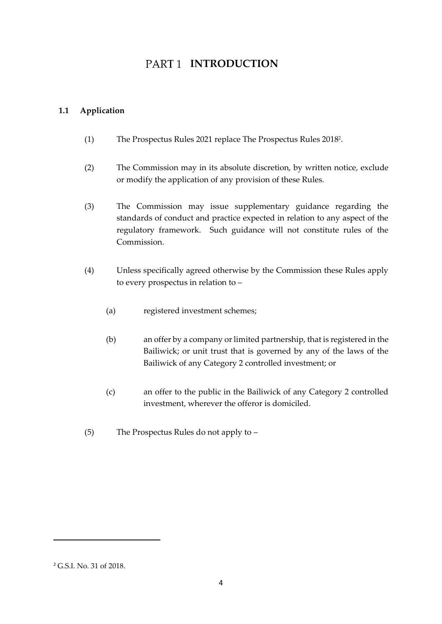## PART<sub>1</sub> INTRODUCTION

#### <span id="page-3-1"></span><span id="page-3-0"></span>**1.1 Application**

- (1) The Prospectus Rules 2021 replace The Prospectus Rules 2018 2 .
- (2) The Commission may in its absolute discretion, by written notice, exclude or modify the application of any provision of these Rules.
- (3) The Commission may issue supplementary guidance regarding the standards of conduct and practice expected in relation to any aspect of the regulatory framework. Such guidance will not constitute rules of the Commission.
- (4) Unless specifically agreed otherwise by the Commission these Rules apply to every prospectus in relation to –
	- (a) registered investment schemes;
	- (b) an offer by a company or limited partnership, that is registered in the Bailiwick; or unit trust that is governed by any of the laws of the Bailiwick of any Category 2 controlled investment; or
	- (c) an offer to the public in the Bailiwick of any Category 2 controlled investment, wherever the offeror is domiciled.
- (5) The Prospectus Rules do not apply to –

<sup>2</sup> G.S.I. No. 31 of 2018.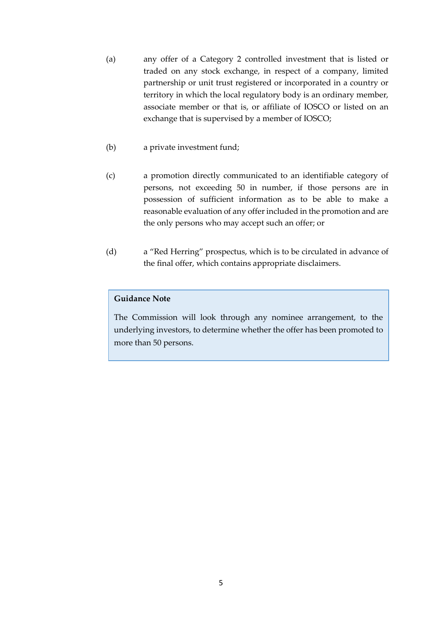- (a) any offer of a Category 2 controlled investment that is listed or traded on any stock exchange, in respect of a company, limited partnership or unit trust registered or incorporated in a country or territory in which the local regulatory body is an ordinary member, associate member or that is, or affiliate of IOSCO or listed on an exchange that is supervised by a member of IOSCO;
- (b) a private investment fund;
- (c) a promotion directly communicated to an identifiable category of persons, not exceeding 50 in number, if those persons are in possession of sufficient information as to be able to make a reasonable evaluation of any offer included in the promotion and are the only persons who may accept such an offer; or
- (d) a "Red Herring" prospectus, which is to be circulated in advance of the final offer, which contains appropriate disclaimers.

#### **Guidance Note**

The Commission will look through any nominee arrangement, to the underlying investors, to determine whether the offer has been promoted to more than 50 persons.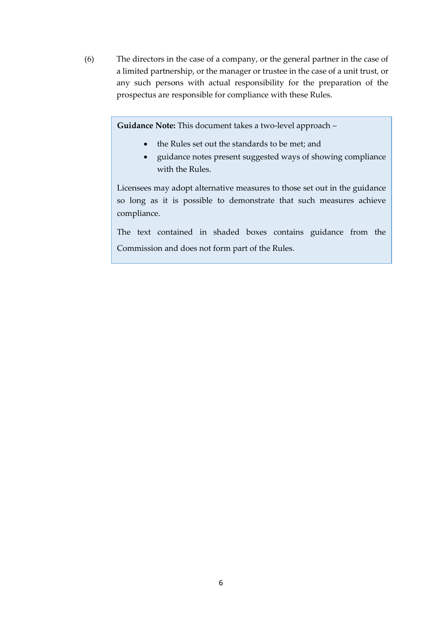(6) The directors in the case of a company, or the general partner in the case of a limited partnership, or the manager or trustee in the case of a unit trust, or any such persons with actual responsibility for the preparation of the prospectus are responsible for compliance with these Rules.

**Guidance Note:** This document takes a two-level approach –

- the Rules set out the standards to be met; and
- guidance notes present suggested ways of showing compliance with the Rules.

Licensees may adopt alternative measures to those set out in the guidance so long as it is possible to demonstrate that such measures achieve compliance.

The text contained in shaded boxes contains guidance from the Commission and does not form part of the Rules.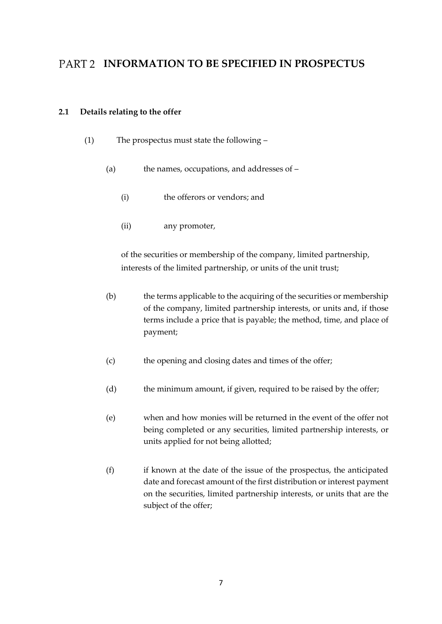## <span id="page-6-0"></span>PART 2 **INFORMATION TO BE SPECIFIED IN PROSPECTUS**

#### <span id="page-6-1"></span>**2.1 Details relating to the offer**

- (1) The prospectus must state the following
	- (a) the names, occupations, and addresses of
		- (i) the offerors or vendors; and
		- (ii) any promoter,

of the securities or membership of the company, limited partnership, interests of the limited partnership, or units of the unit trust;

- (b) the terms applicable to the acquiring of the securities or membership of the company, limited partnership interests, or units and, if those terms include a price that is payable; the method, time, and place of payment;
- (c) the opening and closing dates and times of the offer;
- (d) the minimum amount, if given, required to be raised by the offer;
- (e) when and how monies will be returned in the event of the offer not being completed or any securities, limited partnership interests, or units applied for not being allotted;
- (f) if known at the date of the issue of the prospectus, the anticipated date and forecast amount of the first distribution or interest payment on the securities, limited partnership interests, or units that are the subject of the offer;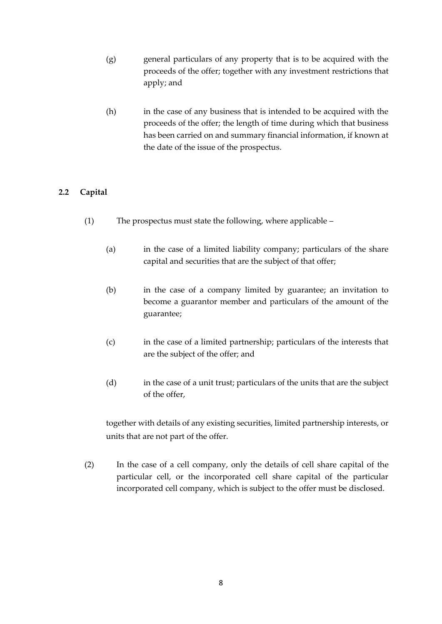- (g) general particulars of any property that is to be acquired with the proceeds of the offer; together with any investment restrictions that apply; and
- (h) in the case of any business that is intended to be acquired with the proceeds of the offer; the length of time during which that business has been carried on and summary financial information, if known at the date of the issue of the prospectus.

### <span id="page-7-0"></span>**2.2 Capital**

- (1) The prospectus must state the following, where applicable
	- (a) in the case of a limited liability company; particulars of the share capital and securities that are the subject of that offer;
	- (b) in the case of a company limited by guarantee; an invitation to become a guarantor member and particulars of the amount of the guarantee;
	- (c) in the case of a limited partnership; particulars of the interests that are the subject of the offer; and
	- (d) in the case of a unit trust; particulars of the units that are the subject of the offer,

together with details of any existing securities, limited partnership interests, or units that are not part of the offer.

(2) In the case of a cell company, only the details of cell share capital of the particular cell, or the incorporated cell share capital of the particular incorporated cell company, which is subject to the offer must be disclosed.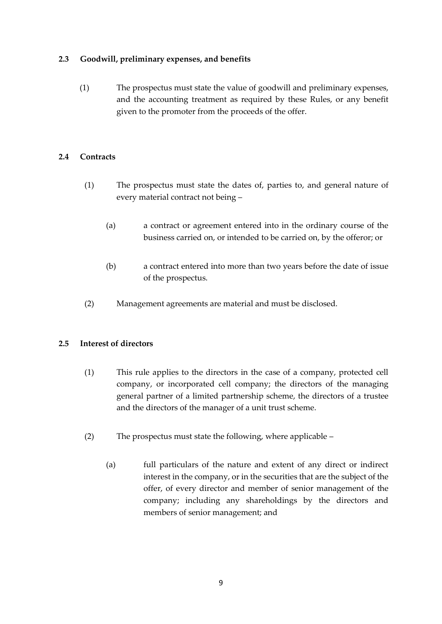#### <span id="page-8-0"></span>**2.3 Goodwill, preliminary expenses, and benefits**

(1) The prospectus must state the value of goodwill and preliminary expenses, and the accounting treatment as required by these Rules, or any benefit given to the promoter from the proceeds of the offer.

#### <span id="page-8-1"></span>**2.4 Contracts**

- (1) The prospectus must state the dates of, parties to, and general nature of every material contract not being –
	- (a) a contract or agreement entered into in the ordinary course of the business carried on, or intended to be carried on, by the offeror; or
	- (b) a contract entered into more than two years before the date of issue of the prospectus.
- (2) Management agreements are material and must be disclosed.

#### <span id="page-8-2"></span>**2.5 Interest of directors**

- (1) This rule applies to the directors in the case of a company, protected cell company, or incorporated cell company; the directors of the managing general partner of a limited partnership scheme, the directors of a trustee and the directors of the manager of a unit trust scheme.
- (2) The prospectus must state the following, where applicable
	- (a) full particulars of the nature and extent of any direct or indirect interest in the company, or in the securities that are the subject of the offer, of every director and member of senior management of the company; including any shareholdings by the directors and members of senior management; and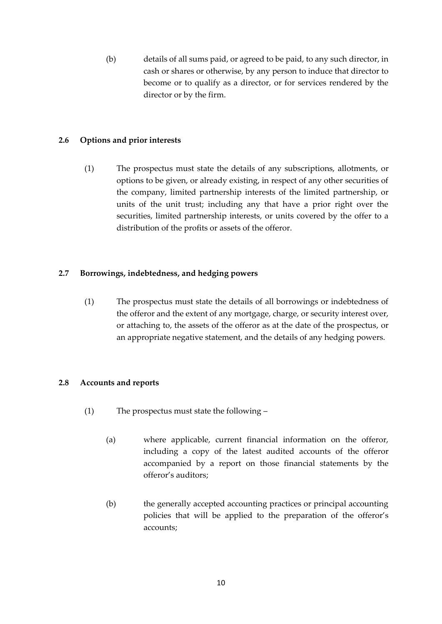(b) details of all sums paid, or agreed to be paid, to any such director, in cash or shares or otherwise, by any person to induce that director to become or to qualify as a director, or for services rendered by the director or by the firm.

#### <span id="page-9-0"></span>**2.6 Options and prior interests**

(1) The prospectus must state the details of any subscriptions, allotments, or options to be given, or already existing, in respect of any other securities of the company, limited partnership interests of the limited partnership, or units of the unit trust; including any that have a prior right over the securities, limited partnership interests, or units covered by the offer to a distribution of the profits or assets of the offeror.

#### <span id="page-9-1"></span>**2.7 Borrowings, indebtedness, and hedging powers**

(1) The prospectus must state the details of all borrowings or indebtedness of the offeror and the extent of any mortgage, charge, or security interest over, or attaching to, the assets of the offeror as at the date of the prospectus, or an appropriate negative statement, and the details of any hedging powers.

#### <span id="page-9-2"></span>**2.8 Accounts and reports**

- (1) The prospectus must state the following
	- (a) where applicable, current financial information on the offeror, including a copy of the latest audited accounts of the offeror accompanied by a report on those financial statements by the offeror's auditors;
	- (b) the generally accepted accounting practices or principal accounting policies that will be applied to the preparation of the offeror's accounts;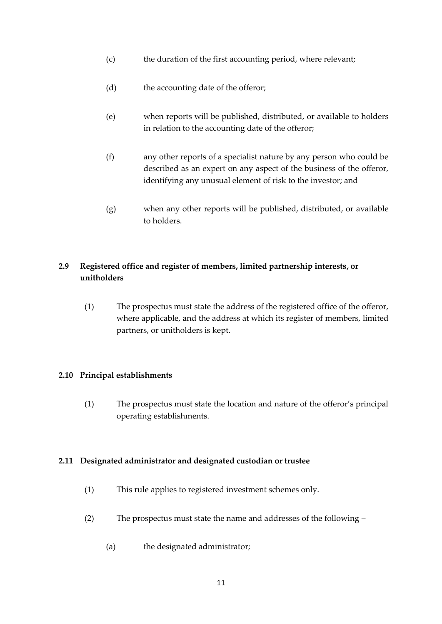- (c) the duration of the first accounting period, where relevant;
- (d) the accounting date of the offeror;
- (e) when reports will be published, distributed, or available to holders in relation to the accounting date of the offeror;
- (f) any other reports of a specialist nature by any person who could be described as an expert on any aspect of the business of the offeror, identifying any unusual element of risk to the investor; and
- (g) when any other reports will be published, distributed, or available to holders.

### <span id="page-10-0"></span>**2.9 Registered office and register of members, limited partnership interests, or unitholders**

(1) The prospectus must state the address of the registered office of the offeror, where applicable, and the address at which its register of members, limited partners, or unitholders is kept.

#### <span id="page-10-1"></span>**2.10 Principal establishments**

(1) The prospectus must state the location and nature of the offeror's principal operating establishments.

#### <span id="page-10-2"></span>**2.11 Designated administrator and designated custodian or trustee**

- (1) This rule applies to registered investment schemes only.
- (2) The prospectus must state the name and addresses of the following
	- (a) the designated administrator;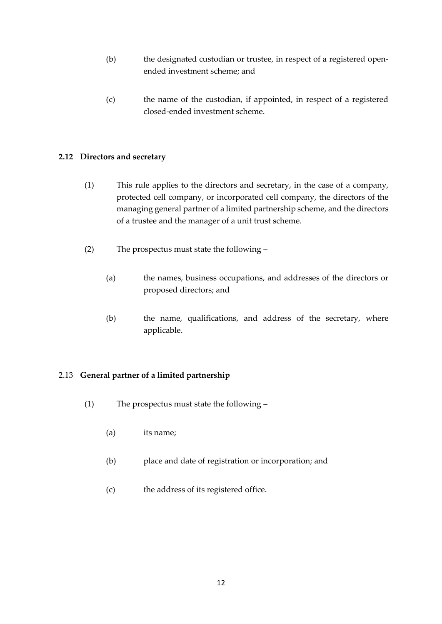- (b) the designated custodian or trustee, in respect of a registered openended investment scheme; and
- (c) the name of the custodian, if appointed, in respect of a registered closed-ended investment scheme.

#### <span id="page-11-0"></span>**2.12 Directors and secretary**

- (1) This rule applies to the directors and secretary, in the case of a company, protected cell company, or incorporated cell company, the directors of the managing general partner of a limited partnership scheme, and the directors of a trustee and the manager of a unit trust scheme.
- (2) The prospectus must state the following
	- (a) the names, business occupations, and addresses of the directors or proposed directors; and
	- (b) the name, qualifications, and address of the secretary, where applicable.

#### <span id="page-11-1"></span>2.13 **General partner of a limited partnership**

- (1) The prospectus must state the following
	- (a) its name;
	- (b) place and date of registration or incorporation; and
	- (c) the address of its registered office.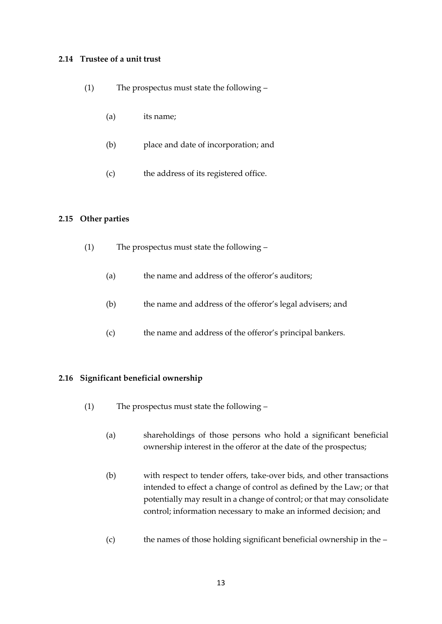#### <span id="page-12-0"></span>**2.14 Trustee of a unit trust**

- (1) The prospectus must state the following
	- (a) its name;
	- (b) place and date of incorporation; and
	- (c) the address of its registered office.

#### <span id="page-12-1"></span>**2.15 Other parties**

- (1) The prospectus must state the following
	- (a) the name and address of the offeror's auditors;
	- (b) the name and address of the offeror's legal advisers; and
	- (c) the name and address of the offeror's principal bankers.

#### <span id="page-12-2"></span>**2.16 Significant beneficial ownership**

- (1) The prospectus must state the following
	- (a) shareholdings of those persons who hold a significant beneficial ownership interest in the offeror at the date of the prospectus;
	- (b) with respect to tender offers, take-over bids, and other transactions intended to effect a change of control as defined by the Law; or that potentially may result in a change of control; or that may consolidate control; information necessary to make an informed decision; and
	- (c) the names of those holding significant beneficial ownership in the –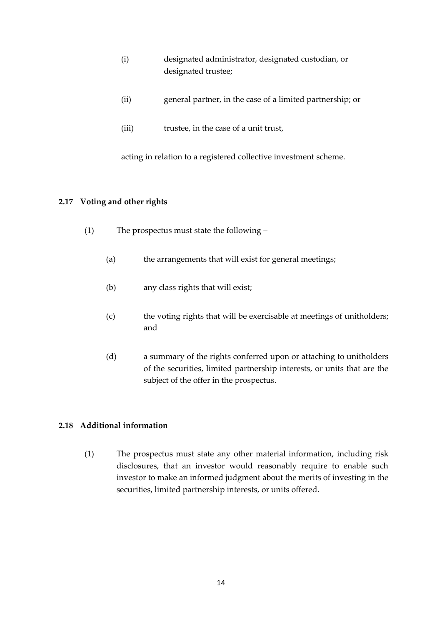- (i) designated administrator, designated custodian, or designated trustee;
- (ii) general partner, in the case of a limited partnership; or
- (iii) trustee, in the case of a unit trust,

acting in relation to a registered collective investment scheme.

#### <span id="page-13-0"></span>**2.17 Voting and other rights**

- (1) The prospectus must state the following
	- (a) the arrangements that will exist for general meetings;
	- (b) any class rights that will exist;
	- (c) the voting rights that will be exercisable at meetings of unitholders; and
	- (d) a summary of the rights conferred upon or attaching to unitholders of the securities, limited partnership interests, or units that are the subject of the offer in the prospectus.

#### <span id="page-13-1"></span>**2.18 Additional information**

(1) The prospectus must state any other material information, including risk disclosures, that an investor would reasonably require to enable such investor to make an informed judgment about the merits of investing in the securities, limited partnership interests, or units offered.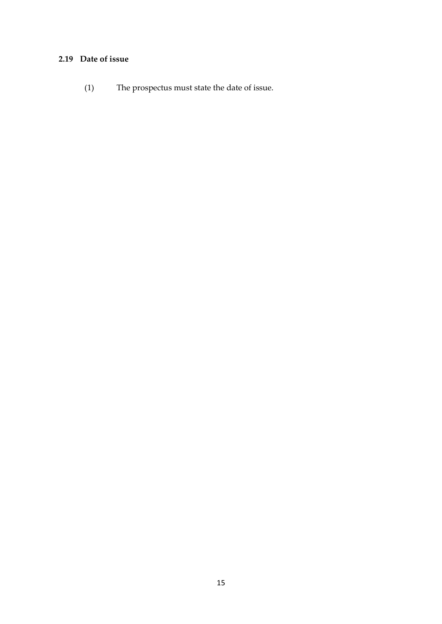### <span id="page-14-0"></span>**2.19 Date of issue**

(1) The prospectus must state the date of issue.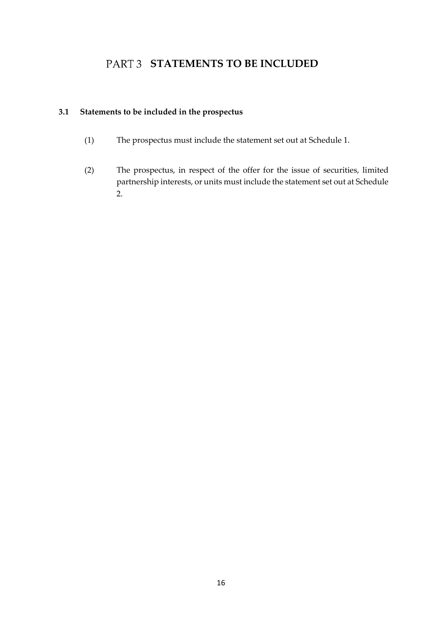## **PART 3 STATEMENTS TO BE INCLUDED**

### <span id="page-15-1"></span><span id="page-15-0"></span>**3.1 Statements to be included in the prospectus**

- (1) The prospectus must include the statement set out at Schedule 1.
- (2) The prospectus, in respect of the offer for the issue of securities, limited partnership interests, or units must include the statement set out at Schedule 2.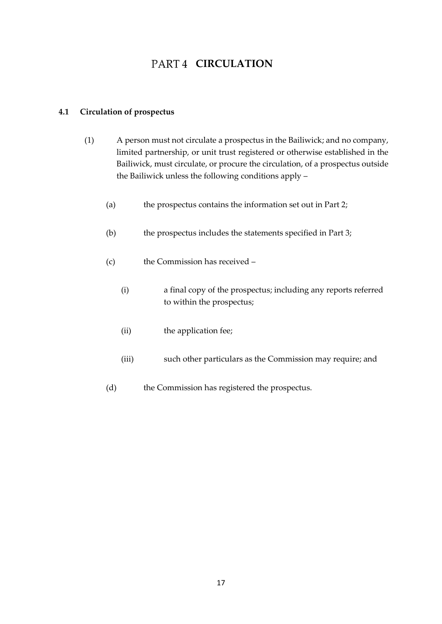## **PART 4 CIRCULATION**

#### <span id="page-16-1"></span><span id="page-16-0"></span>**4.1 Circulation of prospectus**

- (1) A person must not circulate a prospectus in the Bailiwick; and no company, limited partnership, or unit trust registered or otherwise established in the Bailiwick, must circulate, or procure the circulation, of a prospectus outside the Bailiwick unless the following conditions apply –
	- (a) the prospectus contains the information set out in Part 2;
	- (b) the prospectus includes the statements specified in Part 3;
	- (c) the Commission has received
		- (i) a final copy of the prospectus; including any reports referred to within the prospectus;
		- (ii) the application fee;
		- (iii) such other particulars as the Commission may require; and
	- (d) the Commission has registered the prospectus.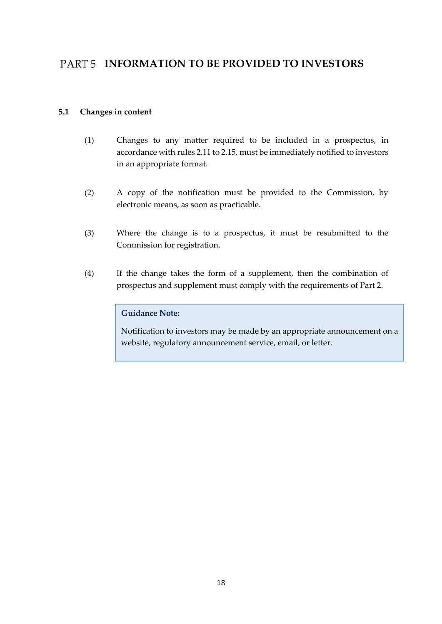## <span id="page-17-0"></span>PART 5 **INFORMATION TO BE PROVIDED TO INVESTORS**

#### <span id="page-17-1"></span>**5.1 Changes in content**

- (1) Changes to any matter required to be included in a prospectus, in accordance with rules 2.11 to 2.15, must be immediately notified to investors in an appropriate format.
- (2) A copy of the notification must be provided to the Commission, by electronic means, as soon as practicable.
- (3) Where the change is to a prospectus, it must be resubmitted to the Commission for registration.
- (4) If the change takes the form of a supplement, then the combination of prospectus and supplement must comply with the requirements of Part 2.

#### **Guidance Note:**

Notification to investors may be made by an appropriate announcement on a website, regulatory announcement service, email, or letter.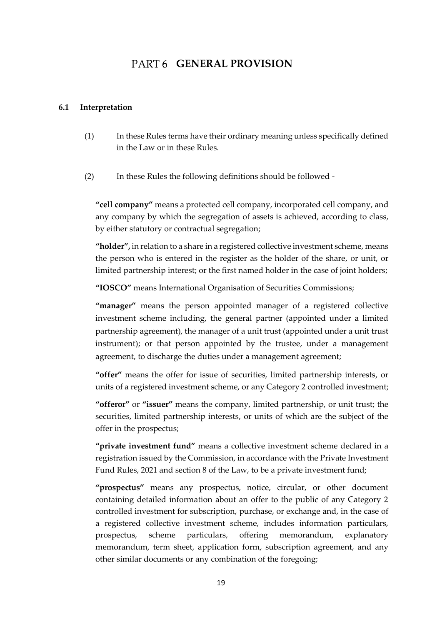### PART6 **GENERAL PROVISION**

#### <span id="page-18-1"></span><span id="page-18-0"></span>**6.1 Interpretation**

- (1) In these Rules terms have their ordinary meaning unless specifically defined in the Law or in these Rules.
- (2) In these Rules the following definitions should be followed -

**"cell company"** means a protected cell company, incorporated cell company, and any company by which the segregation of assets is achieved, according to class, by either statutory or contractual segregation;

**"holder",** in relation to a share in a registered collective investment scheme, means the person who is entered in the register as the holder of the share, or unit, or limited partnership interest; or the first named holder in the case of joint holders;

**"IOSCO"** means International Organisation of Securities Commissions;

**"manager"** means the person appointed manager of a registered collective investment scheme including, the general partner (appointed under a limited partnership agreement), the manager of a unit trust (appointed under a unit trust instrument); or that person appointed by the trustee, under a management agreement, to discharge the duties under a management agreement;

**"offer"** means the offer for issue of securities, limited partnership interests, or units of a registered investment scheme, or any Category 2 controlled investment;

**"offeror"** or **"issuer"** means the company, limited partnership, or unit trust; the securities, limited partnership interests, or units of which are the subject of the offer in the prospectus;

**"private investment fund"** means a collective investment scheme declared in a registration issued by the Commission, in accordance with the Private Investment Fund Rules, 2021 and section 8 of the Law, to be a private investment fund;

**"prospectus"** means any prospectus, notice, circular, or other document containing detailed information about an offer to the public of any Category 2 controlled investment for subscription, purchase, or exchange and, in the case of a registered collective investment scheme, includes information particulars, prospectus, scheme particulars, offering memorandum, explanatory memorandum, term sheet, application form, subscription agreement, and any other similar documents or any combination of the foregoing;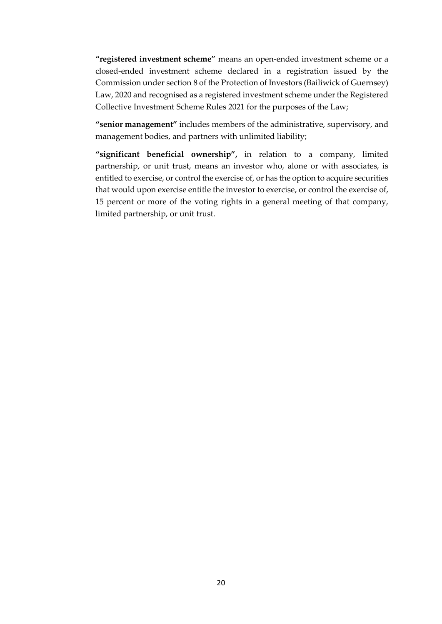**"registered investment scheme"** means an open-ended investment scheme or a closed-ended investment scheme declared in a registration issued by the Commission under section 8 of the Protection of Investors (Bailiwick of Guernsey) Law, 2020 and recognised as a registered investment scheme under the Registered Collective Investment Scheme Rules 2021 for the purposes of the Law;

**"senior management"** includes members of the administrative, supervisory, and management bodies, and partners with unlimited liability;

**"significant beneficial ownership",** in relation to a company, limited partnership, or unit trust, means an investor who, alone or with associates, is entitled to exercise, or control the exercise of, or has the option to acquire securities that would upon exercise entitle the investor to exercise, or control the exercise of, 15 percent or more of the voting rights in a general meeting of that company, limited partnership, or unit trust.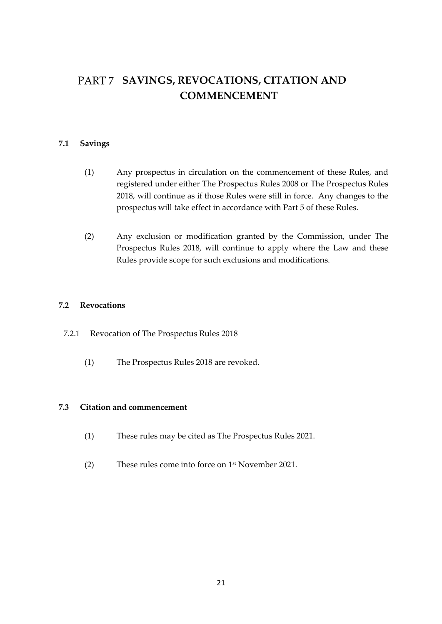## <span id="page-20-0"></span>PART 7 SAVINGS, REVOCATIONS, CITATION AND **COMMENCEMENT**

#### <span id="page-20-1"></span>**7.1 Savings**

- (1) Any prospectus in circulation on the commencement of these Rules, and registered under either The Prospectus Rules 2008 or The Prospectus Rules 2018, will continue as if those Rules were still in force. Any changes to the prospectus will take effect in accordance with Part 5 of these Rules.
- (2) Any exclusion or modification granted by the Commission, under The Prospectus Rules 2018, will continue to apply where the Law and these Rules provide scope for such exclusions and modifications.

#### <span id="page-20-2"></span>**7.2 Revocations**

- 7.2.1 Revocation of The Prospectus Rules 2018
	- (1) The Prospectus Rules 2018 are revoked.

#### <span id="page-20-3"></span>**7.3 Citation and commencement**

- (1) These rules may be cited as The Prospectus Rules 2021.
- (2) These rules come into force on 1 st November 2021.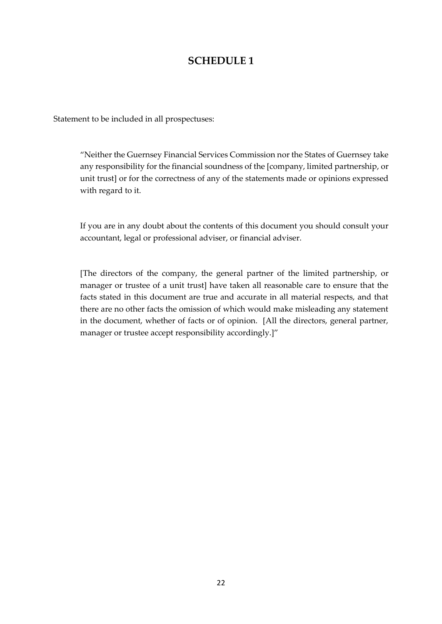### **SCHEDULE 1**

Statement to be included in all prospectuses:

"Neither the Guernsey Financial Services Commission nor the States of Guernsey take any responsibility for the financial soundness of the [company, limited partnership, or unit trust] or for the correctness of any of the statements made or opinions expressed with regard to it.

If you are in any doubt about the contents of this document you should consult your accountant, legal or professional adviser, or financial adviser.

[The directors of the company, the general partner of the limited partnership, or manager or trustee of a unit trust] have taken all reasonable care to ensure that the facts stated in this document are true and accurate in all material respects, and that there are no other facts the omission of which would make misleading any statement in the document, whether of facts or of opinion. [All the directors, general partner, manager or trustee accept responsibility accordingly.]"